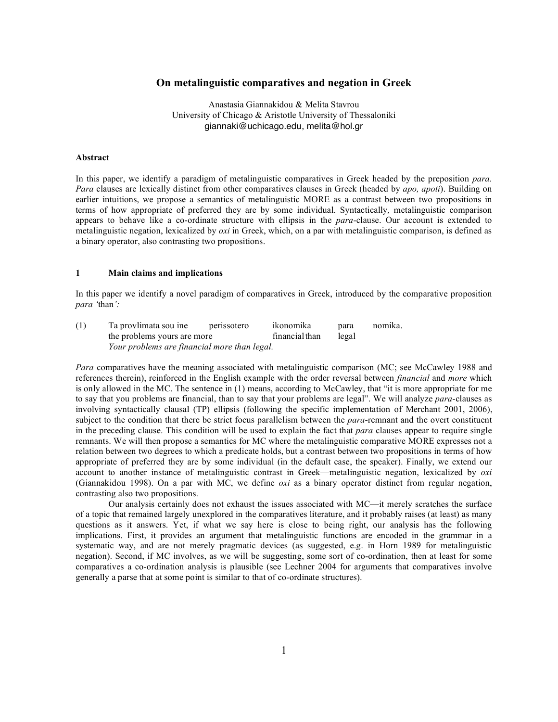## **On metalinguistic comparatives and negation in Greek**

Anastasia Giannakidou & Melita Stavrou University of Chicago & Aristotle University of Thessaloniki giannaki@uchicago.edu, melita@hol.gr

#### **Abstract**

In this paper, we identify a paradigm of metalinguistic comparatives in Greek headed by the preposition *para. Para* clauses are lexically distinct from other comparatives clauses in Greek (headed by *apo, apoti*). Building on earlier intuitions, we propose a semantics of metalinguistic MORE as a contrast between two propositions in terms of how appropriate of preferred they are by some individual. Syntactically*,* metalinguistic comparison appears to behave like a co-ordinate structure with ellipsis in the *para-*clause. Our account is extended to metalinguistic negation, lexicalized by *oxi* in Greek, which, on a par with metalinguistic comparison, is defined as a binary operator, also contrasting two propositions.

#### **1 Main claims and implications**

In this paper we identify a novel paradigm of comparatives in Greek, introduced by the comparative proposition *para '*than*':*

(1) Ta provlimata sou ine perissotero ikonomika para nomika. the problems yours are more financialthan legal *Your problems are financial more than legal.*

*Para* comparatives have the meaning associated with metalinguistic comparison (MC; see McCawley 1988 and references therein), reinforced in the English example with the order reversal between *financial* and *more* which is only allowed in the MC. The sentence in (1) means, according to McCawley, that "it is more appropriate for me to say that you problems are financial, than to say that your problems are legal". We will analyze *para*-clauses as involving syntactically clausal (TP) ellipsis (following the specific implementation of Merchant 2001, 2006), subject to the condition that there be strict focus parallelism between the *para*-remnant and the overt constituent in the preceding clause. This condition will be used to explain the fact that *para* clauses appear to require single remnants. We will then propose a semantics for MC where the metalinguistic comparative MORE expresses not a relation between two degrees to which a predicate holds, but a contrast between two propositions in terms of how appropriate of preferred they are by some individual (in the default case, the speaker). Finally, we extend our account to another instance of metalinguistic contrast in Greek—metalinguistic negation, lexicalized by *oxi* (Giannakidou 1998). On a par with MC, we define *oxi* as a binary operator distinct from regular negation, contrasting also two propositions.

Our analysis certainly does not exhaust the issues associated with MC—it merely scratches the surface of a topic that remained largely unexplored in the comparatives literature, and it probably raises (at least) as many questions as it answers. Yet, if what we say here is close to being right, our analysis has the following implications. First, it provides an argument that metalinguistic functions are encoded in the grammar in a systematic way, and are not merely pragmatic devices (as suggested, e.g. in Horn 1989 for metalinguistic negation). Second, if MC involves, as we will be suggesting, some sort of co-ordination, then at least for some comparatives a co-ordination analysis is plausible (see Lechner 2004 for arguments that comparatives involve generally a parse that at some point is similar to that of co-ordinate structures).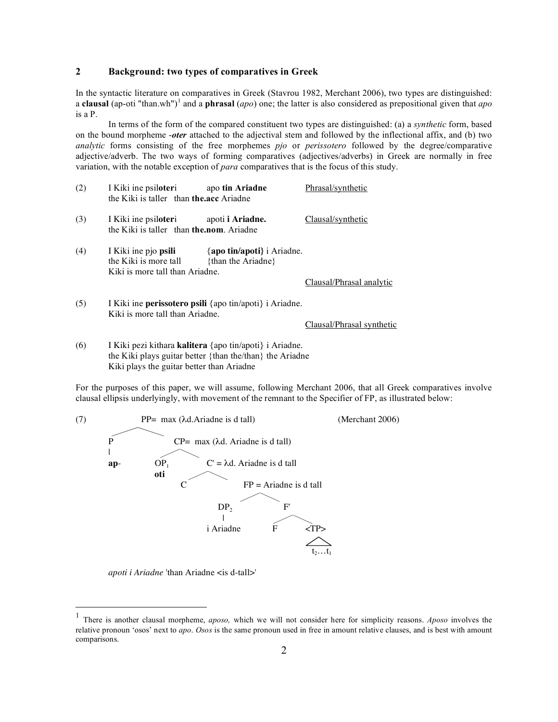## **2 Background: two types of comparatives in Greek**

In the syntactic literature on comparatives in Greek (Stavrou 1982, Merchant 2006), two types are distinguished: a **clausal** (ap-oti "than.wh") <sup>1</sup> and a **phrasal** (*apo*) one; the latter is also considered as prepositional given that *apo* is a P.

In terms of the form of the compared constituent two types are distinguished: (a) a *synthetic* form, based on the bound morpheme -*oter* attached to the adjectival stem and followed by the inflectional affix, and (b) two *analytic* forms consisting of the free morphemes *pjo* or *perissotero* followed by the degree/comparative adjective/adverb. The two ways of forming comparatives (adjectives/adverbs) in Greek are normally in free variation, with the notable exception of *para* comparatives that is the focus of this study.

| (2) | I Kiki ine psiloteri apo tin Ariadne<br>the Kiki is taller than <b>the acc</b> Ariadne  |                                                  | Phrasal/synthetic        |
|-----|-----------------------------------------------------------------------------------------|--------------------------------------------------|--------------------------|
| (3) | I Kiki ine psiloteri<br>the Kiki is taller than the.nom. Ariadne                        | apoti i Ariadne.                                 | Clausal/synthetic        |
| (4) | I Kiki ine pjo <b>psili</b><br>the Kiki is more tall<br>Kiki is more tall than Ariadne. | {apo tin/apoti} i Ariadne.<br>{than the Ariadne} | Clausal/Phrasal analytic |

(5) I Kiki ine **perissotero psili** {apo tin/apoti} i Ariadne. Kiki is more tall than Ariadne.

Clausal/Phrasal synthetic

(6) I Kiki pezi kithara **kalitera** {apo tin/apoti} i Ariadne. the Kiki plays guitar better {than the/than} the Ariadne Kiki plays the guitar better than Ariadne

For the purposes of this paper, we will assume, following Merchant 2006, that all Greek comparatives involve clausal ellipsis underlyingly, with movement of the remnant to the Specifier of FP, as illustrated below:



*apoti i Ariadne* 'than Ariadne <is d-tall>'

 <sup>1</sup> There is another clausal morpheme, *aposo,* which we will not consider here for simplicity reasons. *Aposo* involves the relative pronoun 'osos' next to *apo*. *Osos* is the same pronoun used in free in amount relative clauses, and is best with amount comparisons.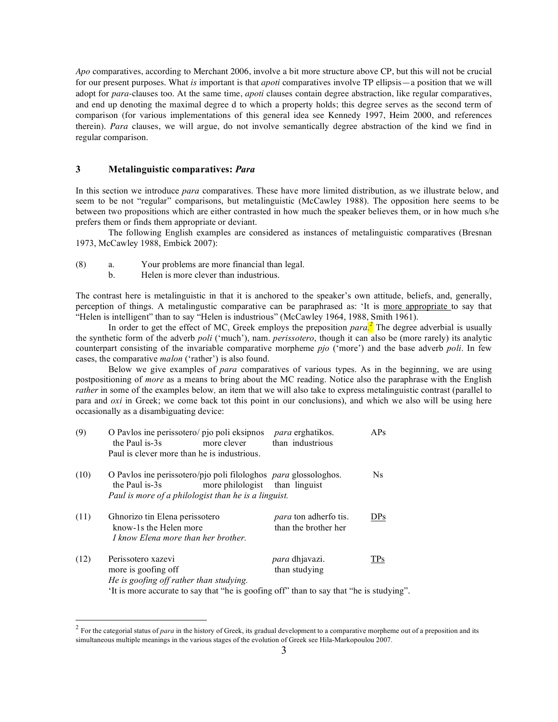*Apo* comparatives, according to Merchant 2006, involve a bit more structure above CP, but this will not be crucial for our present purposes. What *is* important is that *apoti* comparatives involve TP ellipsis—a position that we will adopt for *para*-clauses too. At the same time, *apoti* clauses contain degree abstraction, like regular comparatives, and end up denoting the maximal degree d to which a property holds; this degree serves as the second term of comparison (for various implementations of this general idea see Kennedy 1997, Heim 2000, and references therein). *Para* clauses, we will argue, do not involve semantically degree abstraction of the kind we find in regular comparison.

### **3 Metalinguistic comparatives:** *Para*

In this section we introduce *para* comparatives. These have more limited distribution, as we illustrate below, and seem to be not "regular" comparisons, but metalinguistic (McCawley 1988). The opposition here seems to be between two propositions which are either contrasted in how much the speaker believes them, or in how much s/he prefers them or finds them appropriate or deviant.

The following English examples are considered as instances of metalinguistic comparatives (Bresnan 1973, McCawley 1988, Embick 2007):

- (8) a. Your problems are more financial than legal.
	- b. Helen is more clever than industrious.

The contrast here is metalinguistic in that it is anchored to the speaker's own attitude, beliefs, and, generally, perception of things. A metalingustic comparative can be paraphrased as: 'It is more appropriate to say that "Helen is intelligent" than to say "Helen is industrious" (McCawley 1964, 1988, Smith 1961).

In order to get the effect of MC, Greek employs the preposition *para*<sup>2</sup> The degree adverbial is usually the synthetic form of the adverb *poli* ('much'), nam. *perissotero*, though it can also be (more rarely) its analytic counterpart consisting of the invariable comparative morpheme *pjo* ('more') and the base adverb *poli*. In few cases, the comparative *malon* ('rather') is also found.

Below we give examples of *para* comparatives of various types. As in the beginning, we are using postpositioning of *more* as a means to bring about the MC reading. Notice also the paraphrase with the English *rather* in some of the examples below*,* an item that we will also take to express metalinguistic contrast (parallel to para and *oxi* in Greek; we come back tot this point in our conclusions), and which we also will be using here occasionally as a disambiguating device:

| (9)  | O Pavlos ine perissotero/ pjo poli eksipnos<br>the Paul is-3s<br>more clever                                                                                                                                                                                                                                                                                                                               | <i>para</i> erghatikos.<br>than industrious          | APs            |
|------|------------------------------------------------------------------------------------------------------------------------------------------------------------------------------------------------------------------------------------------------------------------------------------------------------------------------------------------------------------------------------------------------------------|------------------------------------------------------|----------------|
|      | Paul is clever more than he is industrious.                                                                                                                                                                                                                                                                                                                                                                |                                                      |                |
| (10) | O Pavlos ine perissotero/pjo poli filologhos <i>para</i> glossologhos.<br>the Paul is-3s<br>Paul is more of a philologist than he is a linguist.                                                                                                                                                                                                                                                           | more philologist than linguist                       | N <sub>s</sub> |
| (11) | Ghnorizo tin Elena perissotero<br>know-1s the Helen more<br>I know Elena more than her brother.                                                                                                                                                                                                                                                                                                            | <i>para</i> ton adherfo tis.<br>than the brother her | <b>DPs</b>     |
| (12) | Perissotero xazevi<br>more is goofing off<br>He is goofing off rather than studying.<br>$\mathcal{F}_1$ , and the contract of the contract of $\mathcal{F}_1$ and $\mathcal{F}_2$ and $\mathcal{F}_3$ and $\mathcal{F}_4$ and $\mathcal{F}_5$ and $\mathcal{F}_6$ and $\mathcal{F}_7$ and $\mathcal{F}_8$ and $\mathcal{F}_9$ and $\mathcal{F}_8$ and $\mathcal{F}_9$ and $\mathcal{F}_9$ and $\mathcal{F$ | <i>para</i> dhjavazi.<br>than studying               | TPs            |

<sup>&#</sup>x27;It is more accurate to say that "he is goofing off" than to say that "he is studying".

<sup>&</sup>lt;sup>2</sup> For the categorial status of *para* in the history of Greek, its gradual development to a comparative morpheme out of a preposition and its simultaneous multiple meanings in the various stages of the evolution of Greek see Hila-Markopoulou 2007.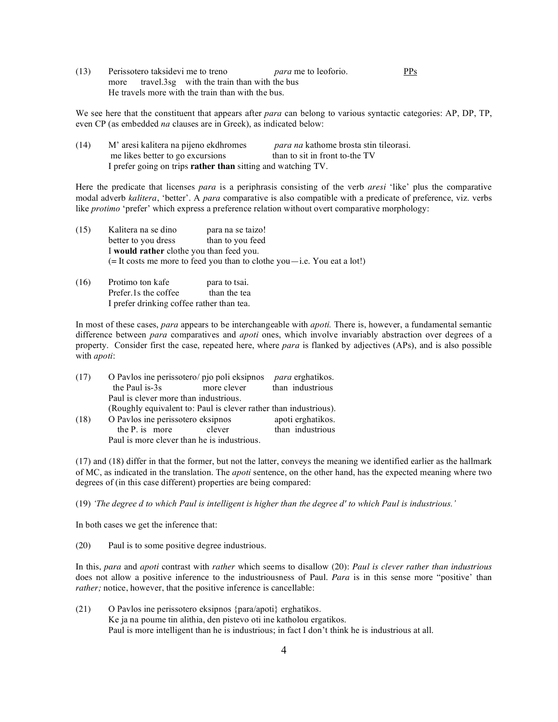| (13) | Perissotero taksidevi me to treno |  |                                                   | <i>para</i> me to leoforio.                 | <b>PPs</b> |
|------|-----------------------------------|--|---------------------------------------------------|---------------------------------------------|------------|
|      | more                              |  |                                                   | travel.3sg with the train than with the bus |            |
|      |                                   |  | He travels more with the train than with the bus. |                                             |            |

We see here that the constituent that appears after *para* can belong to various syntactic categories: AP, DP, TP, even CP (as embedded *na* clauses are in Greek), as indicated below:

| (14) | M' aresi kalitera na pijeno ekdhromes                        | <i>para na</i> kathome brosta stin tileorasi. |  |
|------|--------------------------------------------------------------|-----------------------------------------------|--|
|      | me likes better to go excursions                             | than to sit in front to-the TV                |  |
|      | I prefer going on trips rather than sitting and watching TV. |                                               |  |

Here the predicate that licenses *para* is a periphrasis consisting of the verb *aresi* 'like' plus the comparative modal adverb *kalitera*, 'better'. A *para* comparative is also compatible with a predicate of preference, viz. verbs like *protimo* 'prefer' which express a preference relation without overt comparative morphology:

| (15) | Kalitera na se dino                      | para na se taizo!                                                              |
|------|------------------------------------------|--------------------------------------------------------------------------------|
|      | better to you dress                      | than to you feed                                                               |
|      | I would rather clothe you than feed you. |                                                                                |
|      |                                          | $($ = It costs me more to feed you than to clothe you $-$ i.e. You eat a lot!) |

| (16) | Protimo ton kafe                          | para to tsai. |  |
|------|-------------------------------------------|---------------|--|
|      | Prefer.1s the coffee                      | than the tea  |  |
|      | I prefer drinking coffee rather than tea. |               |  |

In most of these cases, *para* appears to be interchangeable with *apoti.* There is, however, a fundamental semantic difference between *para* comparatives and *apoti* ones, which involve invariably abstraction over degrees of a property. Consider first the case, repeated here, where *para* is flanked by adjectives (APs), and is also possible with *apoti*:

| (17) | O Pavlos ine perissotero/ pjo poli eksipnos                      |             | <i>para</i> erghatikos. |
|------|------------------------------------------------------------------|-------------|-------------------------|
|      | the Paul is-3s                                                   | more clever | than industrious        |
|      | Paul is clever more than industrious.                            |             |                         |
|      | (Roughly equivalent to: Paul is clever rather than industrious). |             |                         |
| (18) | O Pavlos ine perissotero eksipnos                                |             | apoti erghatikos.       |
|      | the $P$ , is more                                                | clever      | than industrious        |
|      | Paul is more clever than he is industrious.                      |             |                         |
|      |                                                                  |             |                         |

(17) and (18) differ in that the former, but not the latter, conveys the meaning we identified earlier as the hallmark of MC, as indicated in the translation. The *apoti* sentence, on the other hand, has the expected meaning where two degrees of (in this case different) properties are being compared:

(19) 'The degree d to which Paul is intelligent is higher than the degree d' to which Paul is industrious.'

In both cases we get the inference that:

(20) Paul is to some positive degree industrious.

In this, *para* and *apoti* contrast with *rather* which seems to disallow (20): *Paul is clever rather than industrious* does not allow a positive inference to the industriousness of Paul. *Para* is in this sense more "positive' than *rather;* notice, however, that the positive inference is cancellable:

(21) O Pavlos ine perissotero eksipnos {para/apoti} erghatikos. Ke ja na poume tin alithia, den pistevo oti ine katholou ergatikos. Paul is more intelligent than he is industrious; in fact I don't think he is industrious at all.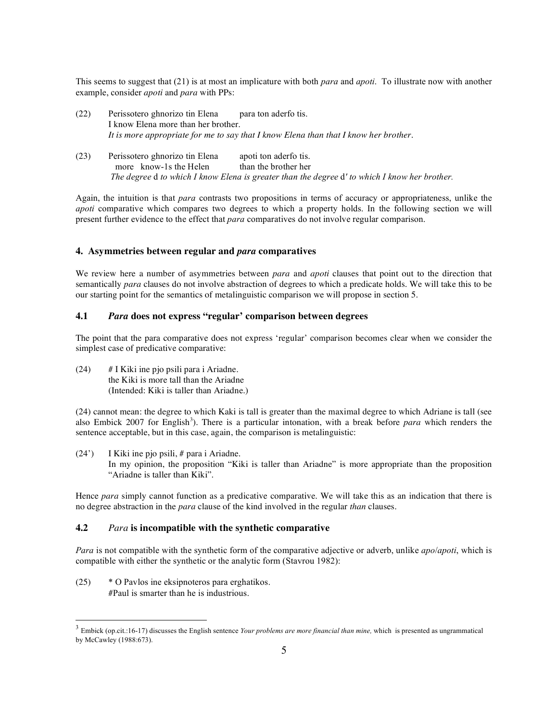This seems to suggest that (21) is at most an implicature with both *para* and *apoti*. To illustrate now with another example, consider *apoti* and *para* with PPs:

- (22) Perissotero ghnorizo tin Elena para ton aderfo tis. I know Elena more than her brother. *It is more appropriate for me to say that I know Elena than that I know her brother.*
- (23) Perissotero ghnorizo tin Elena apoti ton aderfo tis. more know-1s the Helen than the brother her The degree d to which I know Elena is greater than the degree d' to which I know her brother.

Again, the intuition is that *para* contrasts two propositions in terms of accuracy or appropriateness, unlike the *apoti* comparative which compares two degrees to which a property holds. In the following section we will present further evidence to the effect that *para* comparatives do not involve regular comparison.

### **4. Asymmetries between regular and** *para* **comparatives**

We review here a number of asymmetries between *para* and *apoti* clauses that point out to the direction that semantically *para* clauses do not involve abstraction of degrees to which a predicate holds. We will take this to be our starting point for the semantics of metalinguistic comparison we will propose in section 5.

# **4.1** *Para* **does not express "regular' comparison between degrees**

The point that the para comparative does not express 'regular' comparison becomes clear when we consider the simplest case of predicative comparative:

(24) # I Kiki ine pjo psili para i Ariadne. the Kiki is more tall than the Ariadne (Intended: Kiki is taller than Ariadne.)

(24) cannot mean: the degree to which Kaki is tall is greater than the maximal degree to which Adriane is tall (see also Embick 2007 for English<sup>3</sup>). There is a particular intonation, with a break before *para* which renders the sentence acceptable, but in this case, again, the comparison is metalinguistic:

(24') I Kiki ine pjo psili, # para i Ariadne.

In my opinion, the proposition "Kiki is taller than Ariadne" is more appropriate than the proposition "Ariadne is taller than Kiki".

Hence *para* simply cannot function as a predicative comparative. We will take this as an indication that there is no degree abstraction in the *para* clause of the kind involved in the regular *than* clauses.

### **4.2** *Para* **is incompatible with the synthetic comparative**

*Para* is not compatible with the synthetic form of the comparative adjective or adverb, unlike *apo*/*apoti*, which is compatible with either the synthetic or the analytic form (Stavrou 1982):

(25) \* O Pavlos ine eksipnoteros para erghatikos. #Paul is smarter than he is industrious.

 <sup>3</sup> Embick (op.cit.:16-17) discusses the English sentence *Your problems are more financial than mine,* which is presented as ungrammatical by McCawley (1988:673).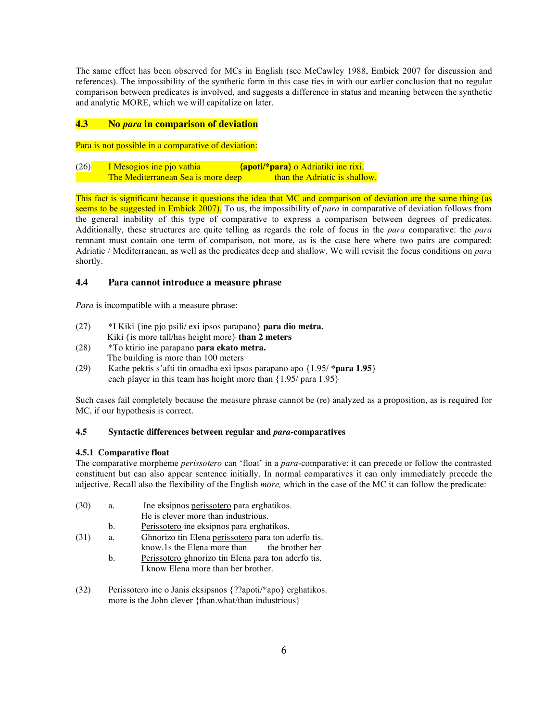The same effect has been observed for MCs in English (see McCawley 1988, Embick 2007 for discussion and references). The impossibility of the synthetic form in this case ties in with our earlier conclusion that no regular comparison between predicates is involved, and suggests a difference in status and meaning between the synthetic and analytic MORE, which we will capitalize on later.

### **4.3 No** *para* **in comparison of deviation**

Para is not possible in a comparative of deviation:

(26) I Mesogios ine pjo vathia **{apoti/\*para}** o Adriatiki ine rixi. The Mediterranean Sea is more deep than the Adriatic is shallow.

This fact is significant because it questions the idea that MC and comparison of deviation are the same thing (as seems to be suggested in Embick 2007). To us, the impossibility of *para* in comparative of deviation follows from the general inability of this type of comparative to express a comparison between degrees of predicates. Additionally, these structures are quite telling as regards the role of focus in the *para* comparative: the *para* remnant must contain one term of comparison, not more, as is the case here where two pairs are compared: Adriatic / Mediterranean, as well as the predicates deep and shallow. We will revisit the focus conditions on *para* shortly.

## **4.4 Para cannot introduce a measure phrase**

*Para* is incompatible with a measure phrase:

- (27) \*I Kiki {ine pjo psili/ exi ipsos parapano} **para dio metra.** Kiki {is more tall/has height more} **than 2 meters**
- (28) \*To ktirio ine parapano **para ekato metra.** The building is more than 100 meters
- (29) Kathe pektis s'afti tin omadha exi ipsos parapano apo {1.95/ **\*para 1.95**} each player in this team has height more than {1.95/ para 1.95}

Such cases fail completely because the measure phrase cannot be (re) analyzed as a proposition, as is required for MC, if our hypothesis is correct.

## **4.5 Syntactic differences between regular and** *para***-comparatives**

#### **4.5.1 Comparative float**

The comparative morpheme *perissotero* can 'float' in a *para*-comparative: it can precede or follow the contrasted constituent but can also appear sentence initially. In normal comparatives it can only immediately precede the adjective. Recall also the flexibility of the English *more,* which in the case of the MC it can follow the predicate:

- (30) a. Ine eksipnos perissotero para erghatikos. He is clever more than industrious. b. Perissotero ine eksipnos para erghatikos. (31) a. Ghnorizo tin Elena perissotero para ton aderfo tis.<br>
know.1s the Elena more than the brother her
	- know.1s the Elena more than b. Perissotero ghnorizo tin Elena para ton aderfo tis. I know Elena more than her brother.
- (32) Perissotero ine o Janis eksipsnos {??apoti/\*apo} erghatikos. more is the John clever {than.what/than industrious}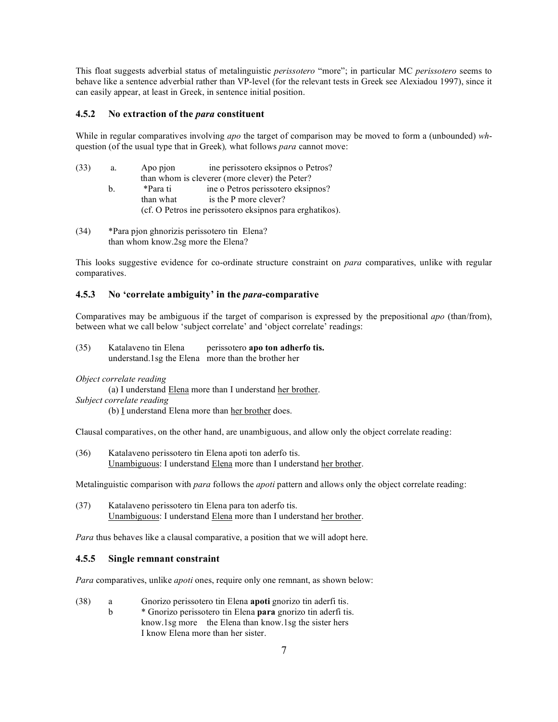This float suggests adverbial status of metalinguistic *perissotero* "more"; in particular MC *perissotero* seems to behave like a sentence adverbial rather than VP-level (for the relevant tests in Greek see Alexiadou 1997), since it can easily appear, at least in Greek, in sentence initial position.

## **4.5.2 No extraction of the** *para* **constituent**

While in regular comparatives involving *apo* the target of comparison may be moved to form a (unbounded) *wh*question (of the usual type that in Greek)*,* what follows *para* cannot move:

| (33) | a. | Apo pjon  | ine perissotero eksipnos o Petros?                       |
|------|----|-----------|----------------------------------------------------------|
|      |    |           | than whom is cleverer (more clever) the Peter?           |
|      | b. | *Para ti  | ine o Petros perissotero eksipnos?                       |
|      |    | than what | is the P more clever?                                    |
|      |    |           | (cf. O Petros ine perissotero eksipnos para erghatikos). |
|      |    |           |                                                          |

(34) \*Para pjon ghnorizis perissotero tin Elena? than whom know.2sg more the Elena?

This looks suggestive evidence for co-ordinate structure constraint on *para* comparatives, unlike with regular comparatives.

## **4.5.3 No 'correlate ambiguity' in the** *para***-comparative**

Comparatives may be ambiguous if the target of comparison is expressed by the prepositional *apo* (than/from), between what we call below 'subject correlate' and 'object correlate' readings:

(35) Katalaveno tin Elena perissotero **apo ton adherfo tis.** understand.1sg the Elena more than the brother her

#### *Object correlate reading*

(a) I understand Elena more than I understand her brother.

- *Subject correlate reading*
	- (b)  $I$  understand Elena more than her brother does.

Clausal comparatives, on the other hand, are unambiguous, and allow only the object correlate reading:

(36) Katalaveno perissotero tin Elena apoti ton aderfo tis. Unambiguous: I understand Elena more than I understand her brother.

Metalinguistic comparison with *para* follows the *apoti* pattern and allows only the object correlate reading:

(37) Katalaveno perissotero tin Elena para ton aderfo tis. Unambiguous: I understand Elena more than I understand her brother.

*Para* thus behaves like a clausal comparative, a position that we will adopt here.

## **4.5.5 Single remnant constraint**

*Para* comparatives, unlike *apoti* ones, require only one remnant, as shown below:

- (38) a Gnorizo perissotero tin Elena **apoti** gnorizo tin aderfi tis.
	- b \* Gnorizo perissotero tin Elena **para** gnorizo tin aderfi tis. know.1sg more the Elena than know.1sg the sister hers I know Elena more than her sister.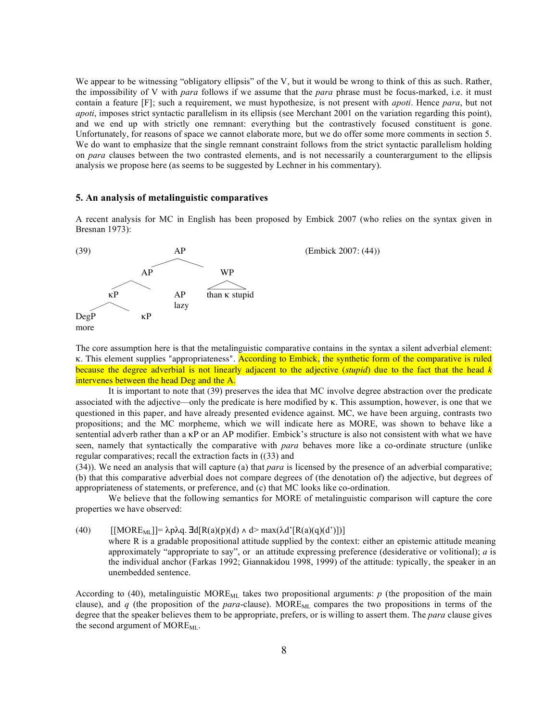We appear to be witnessing "obligatory ellipsis" of the V, but it would be wrong to think of this as such. Rather, the impossibility of V with *para* follows if we assume that the *para* phrase must be focus-marked, i.e. it must contain a feature [F]; such a requirement, we must hypothesize, is not present with *apoti*. Hence *para*, but not *apoti*, imposes strict syntactic parallelism in its ellipsis (see Merchant 2001 on the variation regarding this point), and we end up with strictly one remnant: everything but the contrastively focused constituent is gone. Unfortunately, for reasons of space we cannot elaborate more, but we do offer some more comments in section 5. We do want to emphasize that the single remnant constraint follows from the strict syntactic parallelism holding on *para* clauses between the two contrasted elements, and is not necessarily a counterargument to the ellipsis analysis we propose here (as seems to be suggested by Lechner in his commentary).

### **5. An analysis of metalinguistic comparatives**

A recent analysis for MC in English has been proposed by Embick 2007 (who relies on the syntax given in Bresnan 1973):



The core assumption here is that the metalinguistic comparative contains in the syntax a silent adverbial element: ". This element supplies "appropriateness". According to Embick, the synthetic form of the comparative is ruled because the degree adverbial is not linearly adjacent to the adjective (*stupid*) due to the fact that the head *k* intervenes between the head Deg and the A.

It is important to note that (39) preserves the idea that MC involve degree abstraction over the predicate associated with the adjective—only the predicate is here modified by  $\kappa$ . This assumption, however, is one that we questioned in this paper, and have already presented evidence against. MC, we have been arguing, contrasts two propositions; and the MC morpheme, which we will indicate here as MORE, was shown to behave like a sentential adverb rather than a  $\kappa P$  or an AP modifier. Embick's structure is also not consistent with what we have seen, namely that syntactically the comparative with *para* behaves more like a co-ordinate structure (unlike regular comparatives; recall the extraction facts in ((33) and

(34)). We need an analysis that will capture (a) that *para* is licensed by the presence of an adverbial comparative; (b) that this comparative adverbial does not compare degrees of (the denotation of) the adjective, but degrees of appropriateness of statements, or preference, and (c) that MC looks like co-ordination.

We believe that the following semantics for MORE of metalinguistic comparison will capture the core properties we have observed:

(40)  $\left[\text{MORE}_{ML}\right]= \lambda p \lambda q$ .  $\text{Id}\left[R(a)(p)(d) \wedge d\right] = \max(\lambda d^2 \left[R(a)(q)(d^2)\right])$ 

where R is a gradable propositional attitude supplied by the context: either an epistemic attitude meaning approximately "appropriate to say", or an attitude expressing preference (desiderative or volitional); *a* is the individual anchor (Farkas 1992; Giannakidou 1998, 1999) of the attitude: typically, the speaker in an unembedded sentence.

According to (40), metalinguistic MORE<sub>ML</sub> takes two propositional arguments:  $p$  (the proposition of the main clause), and  $q$  (the proposition of the *para*-clause). MORE<sub>ML</sub> compares the two propositions in terms of the degree that the speaker believes them to be appropriate, prefers, or is willing to assert them. The *para* clause gives the second argument of  $MOREM<sub>L</sub>$ .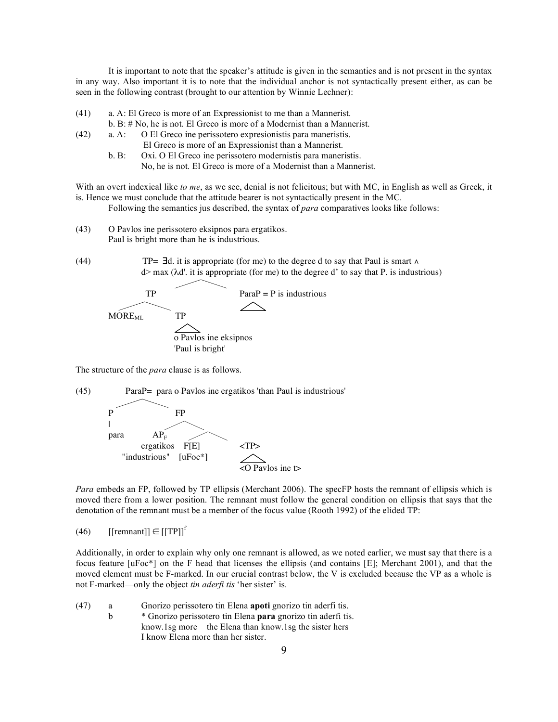It is important to note that the speaker's attitude is given in the semantics and is not present in the syntax in any way. Also important it is to note that the individual anchor is not syntactically present either, as can be seen in the following contrast (brought to our attention by Winnie Lechner):

(41) a. A: El Greco is more of an Expressionist to me than a Mannerist.

b. B: # No, he is not. El Greco is more of a Modernist than a Mannerist.

- (42) a. A: O El Greco ine perissotero expresionistis para maneristis.
	- El Greco is more of an Expressionist than a Mannerist.
	- b. B: Oxi. O El Greco ine perissotero modernistis para maneristis. No, he is not. El Greco is more of a Modernist than a Mannerist.

With an overt indexical like *to me*, as we see, denial is not felicitous; but with MC, in English as well as Greek, it is. Hence we must conclude that the attitude bearer is not syntactically present in the MC.

Following the semantics jus described, the syntax of *para* comparatives looks like follows:

- (43) O Pavlos ine perissotero eksipnos para ergatikos. Paul is bright more than he is industrious.
- (44) TP=  $\exists d$ . it is appropriate (for me) to the degree d to say that Paul is smart  $\wedge$ d> max ( $\lambda$ d'. it is appropriate (for me) to the degree d' to say that P. is industrious)



The structure of the *para* clause is as follows.



*Para* embeds an FP, followed by TP ellipsis (Merchant 2006). The specFP hosts the remnant of ellipsis which is moved there from a lower position. The remnant must follow the general condition on ellipsis that says that the denotation of the remnant must be a member of the focus value (Rooth 1992) of the elided TP:

 $(46)$  [[remnant]]  $\in$  [[TP]]<sup>f</sup>

Additionally, in order to explain why only one remnant is allowed, as we noted earlier, we must say that there is a focus feature [uFoc\*] on the F head that licenses the ellipsis (and contains [E]; Merchant 2001), and that the moved element must be F-marked. In our crucial contrast below, the V is excluded because the VP as a whole is not F-marked—only the object *tin aderfi tis* 'her sister' is.

(47) a Gnorizo perissotero tin Elena **apoti** gnorizo tin aderfi tis. b \* Gnorizo perissotero tin Elena **para** gnorizo tin aderfi tis. know.1sg more the Elena than know.1sg the sister hers I know Elena more than her sister.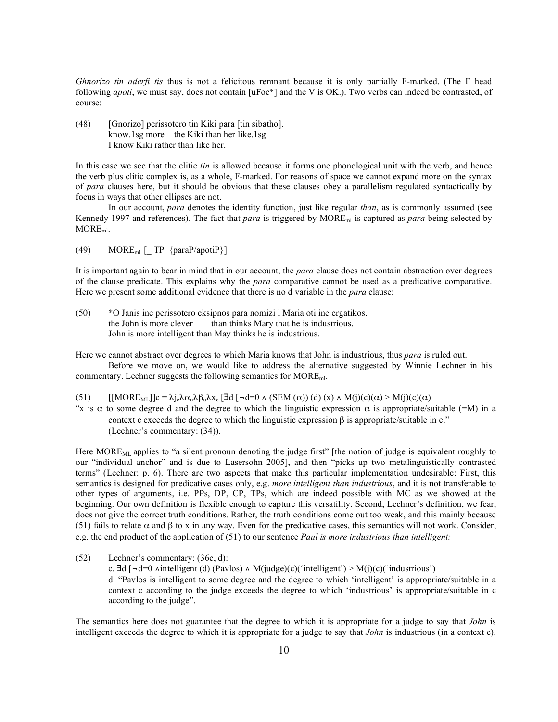*Ghnorizo tin aderfi tis* thus is not a felicitous remnant because it is only partially F-marked. (The F head following *apoti*, we must say, does not contain [uFoc\*] and the V is OK.). Two verbs can indeed be contrasted, of course:

(48) [Gnorizo] perissotero tin Kiki para [tin sibatho]. know.1sg more the Kiki than her like.1sg I know Kiki rather than like her.

In this case we see that the clitic *tin* is allowed because it forms one phonological unit with the verb, and hence the verb plus clitic complex is, as a whole, F-marked. For reasons of space we cannot expand more on the syntax of *para* clauses here, but it should be obvious that these clauses obey a parallelism regulated syntactically by focus in ways that other ellipses are not.

In our account, *para* denotes the identity function, just like regular *than*, as is commonly assumed (see Kennedy 1997 and references). The fact that *para* is triggered by  $MORE_{ml}$  is captured as *para* being selected by MOREml.

(49) MORE<sub>ml</sub>  $[$  TP {paraP/apotiP}]

It is important again to bear in mind that in our account, the *para* clause does not contain abstraction over degrees of the clause predicate. This explains why the *para* comparative cannot be used as a predicative comparative. Here we present some additional evidence that there is no d variable in the *para* clause:

(50) \*O Janis ine perissotero eksipnos para nomizi i Maria oti ine ergatikos. the John is more clever than thinks Mary that he is industrious. John is more intelligent than May thinks he is industrious.

Here we cannot abstract over degrees to which Maria knows that John is industrious, thus *para* is ruled out.

Before we move on, we would like to address the alternative suggested by Winnie Lechner in his commentary. Lechner suggests the following semantics for MOREml.

- (51)  $\left[\text{[MOREM_L]} \right]c = \lambda j_e \lambda \alpha_u \lambda \beta_u \lambda x_e \left[\text{Id} \left[\neg \text{d=0} \land \text{(SEM}(\alpha)\right)\left(\text{d}\right)\left(x\right) \land \text{M}(j)(c)(\alpha) \geq \text{M}(j)(c)(\alpha)\right]$
- "x is  $\alpha$  to some degree d and the degree to which the linguistic expression  $\alpha$  is appropriate/suitable (=M) in a context c exceeds the degree to which the linguistic expression  $\beta$  is appropriate/suitable in c." (Lechner's commentary: (34)).

Here MORE<sub>ML</sub> applies to "a silent pronoun denoting the judge first" [the notion of judge is equivalent roughly to our "individual anchor" and is due to Lasersohn 2005], and then "picks up two metalinguistically contrasted terms" (Lechner: p. 6). There are two aspects that make this particular implementation undesirable: First, this semantics is designed for predicative cases only, e.g. *more intelligent than industrious*, and it is not transferable to other types of arguments, i.e. PPs, DP, CP, TPs, which are indeed possible with MC as we showed at the beginning. Our own definition is flexible enough to capture this versatility. Second, Lechner's definition, we fear, does not give the correct truth conditions. Rather, the truth conditions come out too weak, and this mainly because (51) fails to relate  $\alpha$  and  $\beta$  to x in any way. Even for the predicative cases, this semantics will not work. Consider, e.g. the end product of the application of (51) to our sentence *Paul is more industrious than intelligent:*

(52) Lechner's commentary: (36c, d): c.  $\exists d \, [\neg d=0 \land \text{intelligent (d) (Pavlos) \land M(\text{judge})(c)(\text{'intelligent'}) > M(\text{j})(c)(\text{'industrious'})$ 

d. "Pavlos is intelligent to some degree and the degree to which 'intelligent' is appropriate/suitable in a context c according to the judge exceeds the degree to which 'industrious' is appropriate/suitable in c according to the judge".

The semantics here does not guarantee that the degree to which it is appropriate for a judge to say that *John* is intelligent exceeds the degree to which it is appropriate for a judge to say that *John* is industrious (in a context c).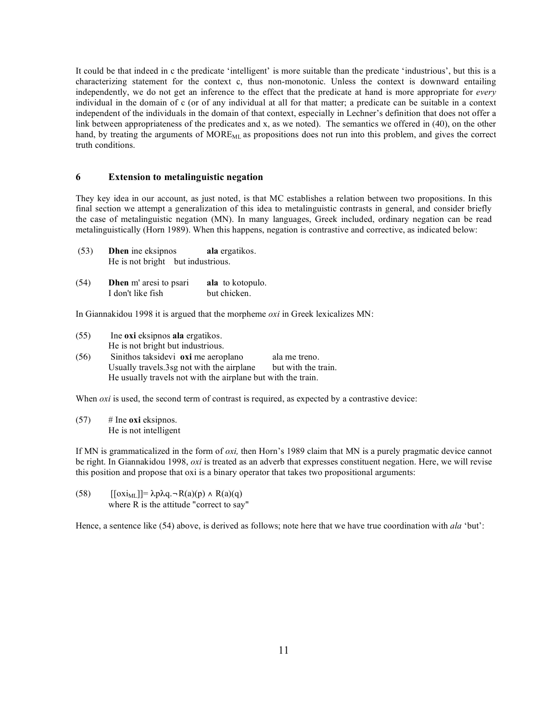It could be that indeed in c the predicate 'intelligent' is more suitable than the predicate 'industrious', but this is a characterizing statement for the context c, thus non-monotonic. Unless the context is downward entailing independently, we do not get an inference to the effect that the predicate at hand is more appropriate for *every* individual in the domain of c (or of any individual at all for that matter; a predicate can be suitable in a context independent of the individuals in the domain of that context, especially in Lechner's definition that does not offer a link between appropriateness of the predicates and x, as we noted). The semantics we offered in (40), on the other hand, by treating the arguments of MORE<sub>ML</sub> as propositions does not run into this problem, and gives the correct truth conditions.

## **6 Extension to metalinguistic negation**

They key idea in our account, as just noted, is that MC establishes a relation between two propositions. In this final section we attempt a generalization of this idea to metalinguistic contrasts in general, and consider briefly the case of metalinguistic negation (MN). In many languages, Greek included, ordinary negation can be read metalinguistically (Horn 1989). When this happens, negation is contrastive and corrective, as indicated below:

| (53) | <b>Dhen</b> ine eksipnos          | ala ergatikos. |
|------|-----------------------------------|----------------|
|      | He is not bright but industrious. |                |

(54) **Dhen** m' aresi to psari **ala** to kotopulo. I don't like fish but chicken.

In Giannakidou 1998 it is argued that the morpheme *oxi* in Greek lexicalizes MN:

- (55) Ine **oxi** eksipnos **ala** ergatikos. He is not bright but industrious.
- (56) Sinithos taksidevi **oxi** me aeroplano ala me treno. Usually travels.3sg not with the airplane but with the train. He usually travels not with the airplane but with the train.

When *oxi* is used, the second term of contrast is required, as expected by a contrastive device:

 $(57)$  # Ine **oxi** eksipnos. He is not intelligent

If MN is grammaticalized in the form of *oxi,* then Horn's 1989 claim that MN is a purely pragmatic device cannot be right. In Giannakidou 1998, *oxi* is treated as an adverb that expresses constituent negation. Here, we will revise this position and propose that oxi is a binary operator that takes two propositional arguments:

(58)  $\left[ [\text{oxi}_{ML}]]= \lambda p \lambda q. \neg R(a)(p) \wedge R(a)(q) \right]$ where R is the attitude "correct to say"

Hence, a sentence like (54) above, is derived as follows; note here that we have true coordination with *ala* 'but':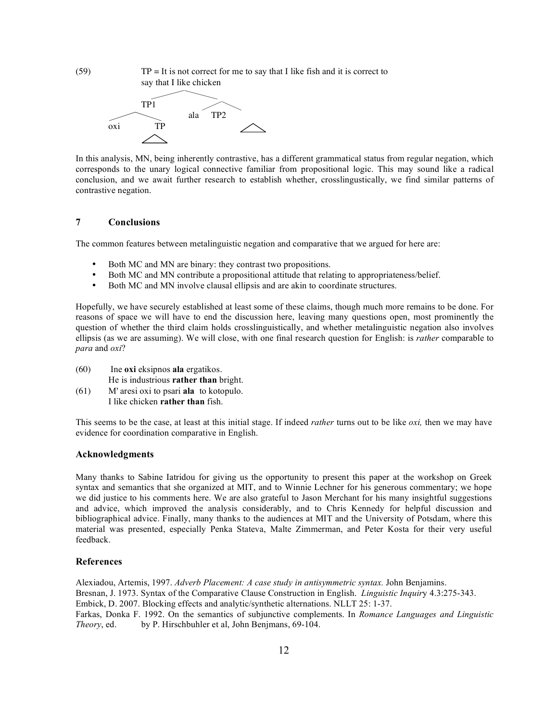$(TP)$  TP = It is not correct for me to say that I like fish and it is correct to say that I lik e chicken



In this analysis, MN, being inherently contrastive, has a different grammatical status from regular negation, which corresponds to the unary logical connective familiar from propositional logic. This may sound like a radical conclusion, and we await further research to establish whether, crosslingustically, we find similar patterns of contrastive negation.

## **7 Conclusions**

The common features between metalinguistic negation and comparative that we argued for here are:

- Both MC and MN are binary: they contrast two propositions.
- Both MC and MN contribute a propositional attitude that relating to appropriateness/belief.<br>• Both MC and MN involve clausal ellingis and are akin to coordinate structures
- Both MC and MN involve clausal ellipsis and are akin to coordinate structures.

Hopefully, we have securely established at least some of these claims, though much more remains to be done. For reasons of space we will have to end the discussion here, leaving many questions open, most prominently the question of whether the third claim holds crosslinguistically, and whether metalinguistic negation also involves ellipsis (as we are assuming). We will close, with one final research question for English: is *rather* comparable to *para* and *oxi*?

- (60) Ine **oxi** eksipnos **ala** ergatikos. He is industrious **rather than** bright.
- (61) M' aresi oxi to psari **ala** to kotopulo. I like chicken **rather than** fish.

This seems to be the case, at least at this initial stage. If indeed *rather* turns out to be like *oxi,* then we may have evidence for coordination comparative in English.

#### **Acknowledgments**

Many thanks to Sabine Iatridou for giving us the opportunity to present this paper at the workshop on Greek syntax and semantics that she organized at MIT, and to Winnie Lechner for his generous commentary; we hope we did justice to his comments here. We are also grateful to Jason Merchant for his many insightful suggestions and advice, which improved the analysis considerably, and to Chris Kennedy for helpful discussion and bibliographical advice. Finally, many thanks to the audiences at MIT and the University of Potsdam, where this material was presented, especially Penka Stateva, Malte Zimmerman, and Peter Kosta for their very useful feedback.

### **References**

Alexiadou, Artemis, 1997. *Adverb Placement: A case study in antisymmetric syntax.* John Benjamins. Bresnan, J. 1973. Syntax of the Comparative Clause Construction in English. *Linguistic Inquir*y 4.3:275-343. Embick, D. 2007. Blocking effects and analytic/synthetic alternations. NLLT 25: 1-37. Farkas, Donka F. 1992. On the semantics of subjunctive complements. In *Romance Languages and Linguistic Theory*, ed. by P. Hirschbuhler et al, John Benjmans, 69-104.